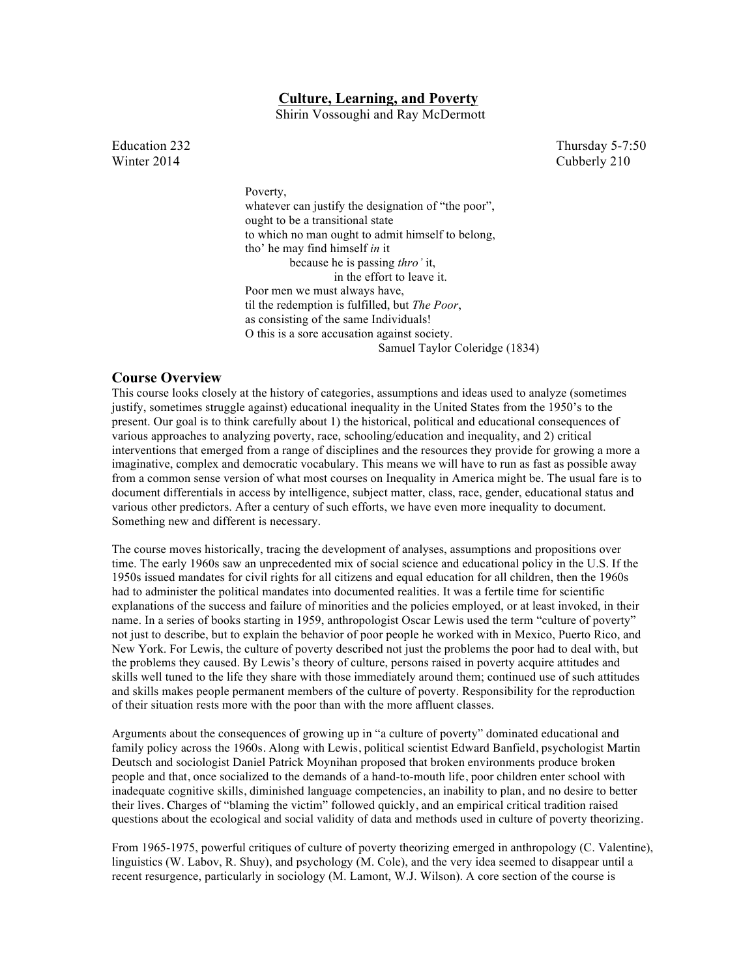# **Culture, Learning, and Poverty**

Shirin Vossoughi and Ray McDermott

Winter 2014 Cubberly 210

Education 232 Thursday 5-7:50

Poverty, whatever can justify the designation of "the poor", ought to be a transitional state to which no man ought to admit himself to belong, tho' he may find himself *in* it because he is passing *thro'* it, in the effort to leave it. Poor men we must always have, til the redemption is fulfilled, but *The Poor*, as consisting of the same Individuals! O this is a sore accusation against society. Samuel Taylor Coleridge (1834)

# **Course Overview**

This course looks closely at the history of categories, assumptions and ideas used to analyze (sometimes justify, sometimes struggle against) educational inequality in the United States from the 1950's to the present. Our goal is to think carefully about 1) the historical, political and educational consequences of various approaches to analyzing poverty, race, schooling/education and inequality, and 2) critical interventions that emerged from a range of disciplines and the resources they provide for growing a more a imaginative, complex and democratic vocabulary. This means we will have to run as fast as possible away from a common sense version of what most courses on Inequality in America might be. The usual fare is to document differentials in access by intelligence, subject matter, class, race, gender, educational status and various other predictors. After a century of such efforts, we have even more inequality to document. Something new and different is necessary.

The course moves historically, tracing the development of analyses, assumptions and propositions over time. The early 1960s saw an unprecedented mix of social science and educational policy in the U.S. If the 1950s issued mandates for civil rights for all citizens and equal education for all children, then the 1960s had to administer the political mandates into documented realities. It was a fertile time for scientific explanations of the success and failure of minorities and the policies employed, or at least invoked, in their name. In a series of books starting in 1959, anthropologist Oscar Lewis used the term "culture of poverty" not just to describe, but to explain the behavior of poor people he worked with in Mexico, Puerto Rico, and New York. For Lewis, the culture of poverty described not just the problems the poor had to deal with, but the problems they caused. By Lewis's theory of culture, persons raised in poverty acquire attitudes and skills well tuned to the life they share with those immediately around them; continued use of such attitudes and skills makes people permanent members of the culture of poverty. Responsibility for the reproduction of their situation rests more with the poor than with the more affluent classes.

Arguments about the consequences of growing up in "a culture of poverty" dominated educational and family policy across the 1960s. Along with Lewis, political scientist Edward Banfield, psychologist Martin Deutsch and sociologist Daniel Patrick Moynihan proposed that broken environments produce broken people and that, once socialized to the demands of a hand-to-mouth life, poor children enter school with inadequate cognitive skills, diminished language competencies, an inability to plan, and no desire to better their lives. Charges of "blaming the victim" followed quickly, and an empirical critical tradition raised questions about the ecological and social validity of data and methods used in culture of poverty theorizing.

From 1965-1975, powerful critiques of culture of poverty theorizing emerged in anthropology (C. Valentine), linguistics (W. Labov, R. Shuy), and psychology (M. Cole), and the very idea seemed to disappear until a recent resurgence, particularly in sociology (M. Lamont, W.J. Wilson). A core section of the course is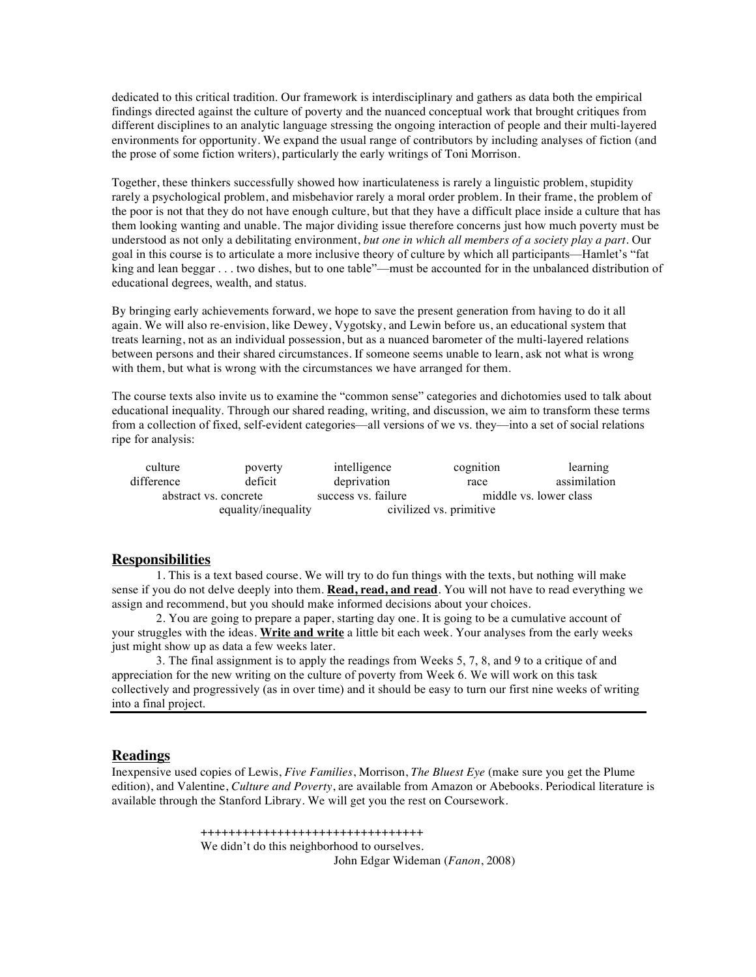dedicated to this critical tradition. Our framework is interdisciplinary and gathers as data both the empirical findings directed against the culture of poverty and the nuanced conceptual work that brought critiques from different disciplines to an analytic language stressing the ongoing interaction of people and their multi-layered environments for opportunity. We expand the usual range of contributors by including analyses of fiction (and the prose of some fiction writers), particularly the early writings of Toni Morrison.

Together, these thinkers successfully showed how inarticulateness is rarely a linguistic problem, stupidity rarely a psychological problem, and misbehavior rarely a moral order problem. In their frame, the problem of the poor is not that they do not have enough culture, but that they have a difficult place inside a culture that has them looking wanting and unable. The major dividing issue therefore concerns just how much poverty must be understood as not only a debilitating environment, *but one in which all members of a society play a part*. Our goal in this course is to articulate a more inclusive theory of culture by which all participants—Hamlet's "fat king and lean beggar . . . two dishes, but to one table"—must be accounted for in the unbalanced distribution of educational degrees, wealth, and status.

By bringing early achievements forward, we hope to save the present generation from having to do it all again. We will also re-envision, like Dewey, Vygotsky, and Lewin before us, an educational system that treats learning, not as an individual possession, but as a nuanced barometer of the multi-layered relations between persons and their shared circumstances. If someone seems unable to learn, ask not what is wrong with them, but what is wrong with the circumstances we have arranged for them.

The course texts also invite us to examine the "common sense" categories and dichotomies used to talk about educational inequality. Through our shared reading, writing, and discussion, we aim to transform these terms from a collection of fixed, self-evident categories—all versions of we vs. they—into a set of social relations ripe for analysis:

| culture               | poverty             | intelligence        | cognition               | learning               |  |
|-----------------------|---------------------|---------------------|-------------------------|------------------------|--|
| difference            | deficit             | deprivation         | race                    | assimilation           |  |
| abstract vs. concrete |                     | success vs. failure |                         | middle vs. lower class |  |
|                       | equality/inequality |                     | civilized vs. primitive |                        |  |

## **Responsibilities**

1. This is a text based course. We will try to do fun things with the texts, but nothing will make sense if you do not delve deeply into them. **Read, read, and read**. You will not have to read everything we assign and recommend, but you should make informed decisions about your choices.

2. You are going to prepare a paper, starting day one. It is going to be a cumulative account of your struggles with the ideas. **Write and write** a little bit each week. Your analyses from the early weeks just might show up as data a few weeks later.

3. The final assignment is to apply the readings from Weeks 5, 7, 8, and 9 to a critique of and appreciation for the new writing on the culture of poverty from Week 6. We will work on this task collectively and progressively (as in over time) and it should be easy to turn our first nine weeks of writing into a final project.

# **Readings**

Inexpensive used copies of Lewis, *Five Families*, Morrison, *The Bluest Eye* (make sure you get the Plume edition), and Valentine, *Culture and Poverty*, are available from Amazon or Abebooks. Periodical literature is available through the Stanford Library. We will get you the rest on Coursework.

> ++++++++++++++++++++++++++++++++ We didn't do this neighborhood to ourselves. John Edgar Wideman (*Fanon*, 2008)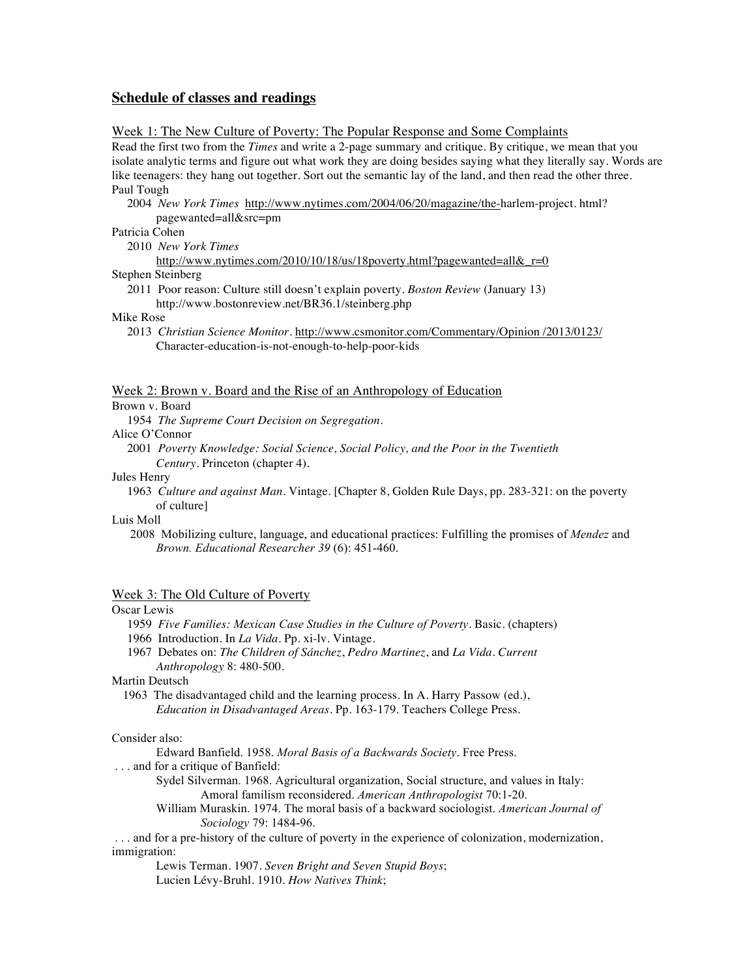# **Schedule of classes and readings**

## Week 1: The New Culture of Poverty: The Popular Response and Some Complaints

Read the first two from the *Times* and write a 2-page summary and critique. By critique, we mean that you isolate analytic terms and figure out what work they are doing besides saying what they literally say. Words are like teenagers: they hang out together. Sort out the semantic lay of the land, and then read the other three. Paul Tough

 2004 *New York Times* http://www.nytimes.com/2004/06/20/magazine/the-harlem-project. html? pagewanted=all&src=pm

Patricia Cohen

2010 *New York Times*

http://www.nytimes.com/2010/10/18/us/18poverty.html?pagewanted=all&r=0 Stephen Steinberg

 2011 Poor reason: Culture still doesn't explain poverty. *Boston Review* (January 13) http://www.bostonreview.net/BR36.1/steinberg.php

Mike Rose

 2013 *Christian Science Monitor*. http://www.csmonitor.com/Commentary/Opinion /2013/0123/ Character-education-is-not-enough-to-help-poor-kids

#### Week 2: Brown v. Board and the Rise of an Anthropology of Education

Brown v. Board

1954 *The Supreme Court Decision on Segregation*.

Alice O'Connor

 2001 *Poverty Knowledge: Social Science, Social Policy, and the Poor in the Twentieth Century*. Princeton (chapter 4).

### Jules Henry

 1963 *Culture and against Man*. Vintage. [Chapter 8, Golden Rule Days, pp. 283-321: on the poverty of culture]

Luis Moll

 2008 Mobilizing culture, language, and educational practices: Fulfilling the promises of *Mendez* and *Brown. Educational Researcher 39* (6): 451-460.

## Week 3: The Old Culture of Poverty

# Oscar Lewis

- 1959 *Five Families: Mexican Case Studies in the Culture of Poverty.* Basic. (chapters)
- 1966 Introduction. In *La Vida*. Pp. xi-lv. Vintage.
- 1967 Debates on: *The Children of Sánchez*, *Pedro Martinez*, and *La Vida*. *Current Anthropology* 8: 480-500.

Martin Deutsch

1963 The disadvantaged child and the learning process. In A. Harry Passow (ed.), *Education in Disadvantaged Areas*. Pp. 163-179. Teachers College Press.

## Consider also:

Edward Banfield. 1958. *Moral Basis of a Backwards Society*. Free Press.

- . . . and for a critique of Banfield:
	- Sydel Silverman. 1968. Agricultural organization, Social structure, and values in Italy: Amoral familism reconsidered. *American Anthropologist* 70:1-20.
	- William Muraskin. 1974. The moral basis of a backward sociologist. *American Journal of Sociology* 79: 1484-96.

. . . and for a pre-history of the culture of poverty in the experience of colonization, modernization, immigration:

Lewis Terman. 1907. *Seven Bright and Seven Stupid Boys*; Lucien Lévy-Bruhl. 1910. *How Natives Think*;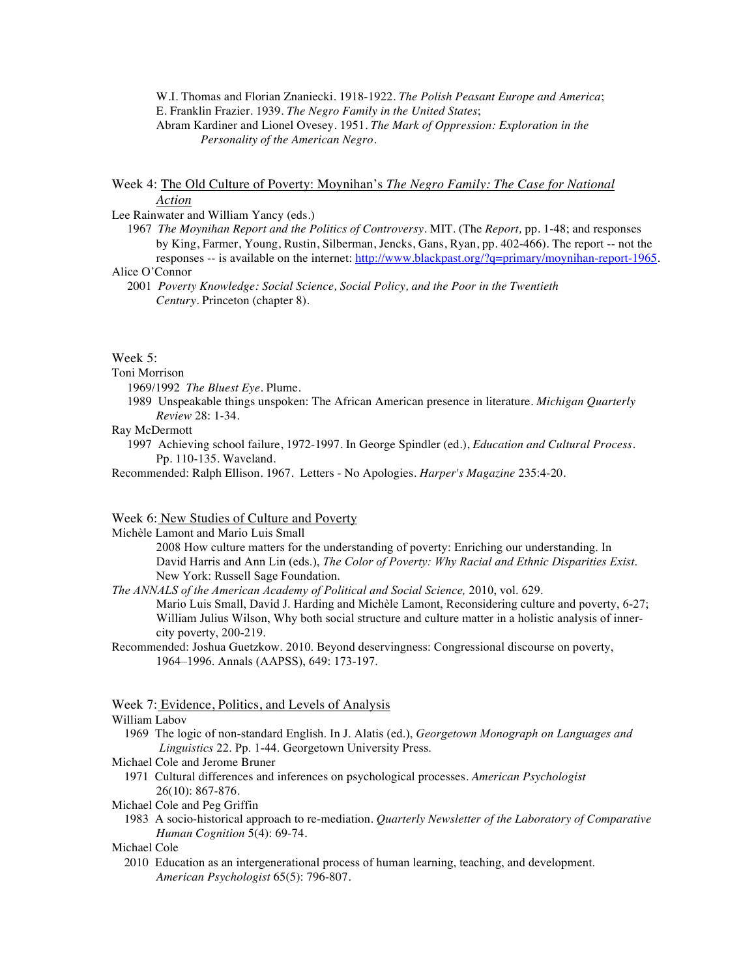W.I. Thomas and Florian Znaniecki. 1918-1922. *The Polish Peasant Europe and America*; E. Franklin Frazier. 1939. *The Negro Family in the United States*; Abram Kardiner and Lionel Ovesey. 1951. *The Mark of Oppression: Exploration in the Personality of the American Negro*.

# Week 4: The Old Culture of Poverty: Moynihan's *The Negro Family: The Case for National Action*

### Lee Rainwater and William Yancy (eds.)

 1967 *The Moynihan Report and the Politics of Controversy*. MIT. (The *Report,* pp. 1-48; and responses by King, Farmer, Young, Rustin, Silberman, Jencks, Gans, Ryan, pp. 402-466). The report -- not the responses -- is available on the internet: http://www.blackpast.org/?q=primary/moynihan-report-1965.

Alice O'Connor

 2001 *Poverty Knowledge: Social Science, Social Policy, and the Poor in the Twentieth Century*. Princeton (chapter 8).

### Week 5:

# Toni Morrison

- 1969/1992 *The Bluest Eye*. Plume.
- 1989 Unspeakable things unspoken: The African American presence in literature. *Michigan Quarterly Review* 28: 1-34.

# Ray McDermott

- 1997 Achieving school failure, 1972-1997. In George Spindler (ed.), *Education and Cultural Process*. Pp. 110-135. Waveland.
- Recommended: Ralph Ellison. 1967. Letters No Apologies. *Harper's Magazine* 235:4-20.

## Week 6: New Studies of Culture and Poverty

Michèle Lamont and Mario Luis Small

2008 How culture matters for the understanding of poverty: Enriching our understanding. In David Harris and Ann Lin (eds.), *The Color of Poverty: Why Racial and Ethnic Disparities Exist*. New York: Russell Sage Foundation.

- *The ANNALS of the American Academy of Political and Social Science,* 2010, vol. 629. Mario Luis Small, David J. Harding and Michèle Lamont, Reconsidering culture and poverty, 6-27; William Julius Wilson, Why both social structure and culture matter in a holistic analysis of innercity poverty, 200-219.
- Recommended: Joshua Guetzkow. 2010. Beyond deservingness: Congressional discourse on poverty, 1964–1996. Annals (AAPSS), 649: 173-197.

# Week 7: Evidence, Politics, and Levels of Analysis

### William Labov

- 1969 The logic of non-standard English. In J. Alatis (ed.), *Georgetown Monograph on Languages and Linguistics* 22. Pp. 1-44. Georgetown University Press.
- Michael Cole and Jerome Bruner
	- 1971 Cultural differences and inferences on psychological processes. *American Psychologist* 26(10): 867-876.

## Michael Cole and Peg Griffin

 1983 A socio-historical approach to re-mediation. *Quarterly Newsletter of the Laboratory of Comparative Human Cognition* 5(4): 69-74.

Michael Cole

 2010 Education as an intergenerational process of human learning, teaching, and development. *American Psychologist* 65(5): 796-807.